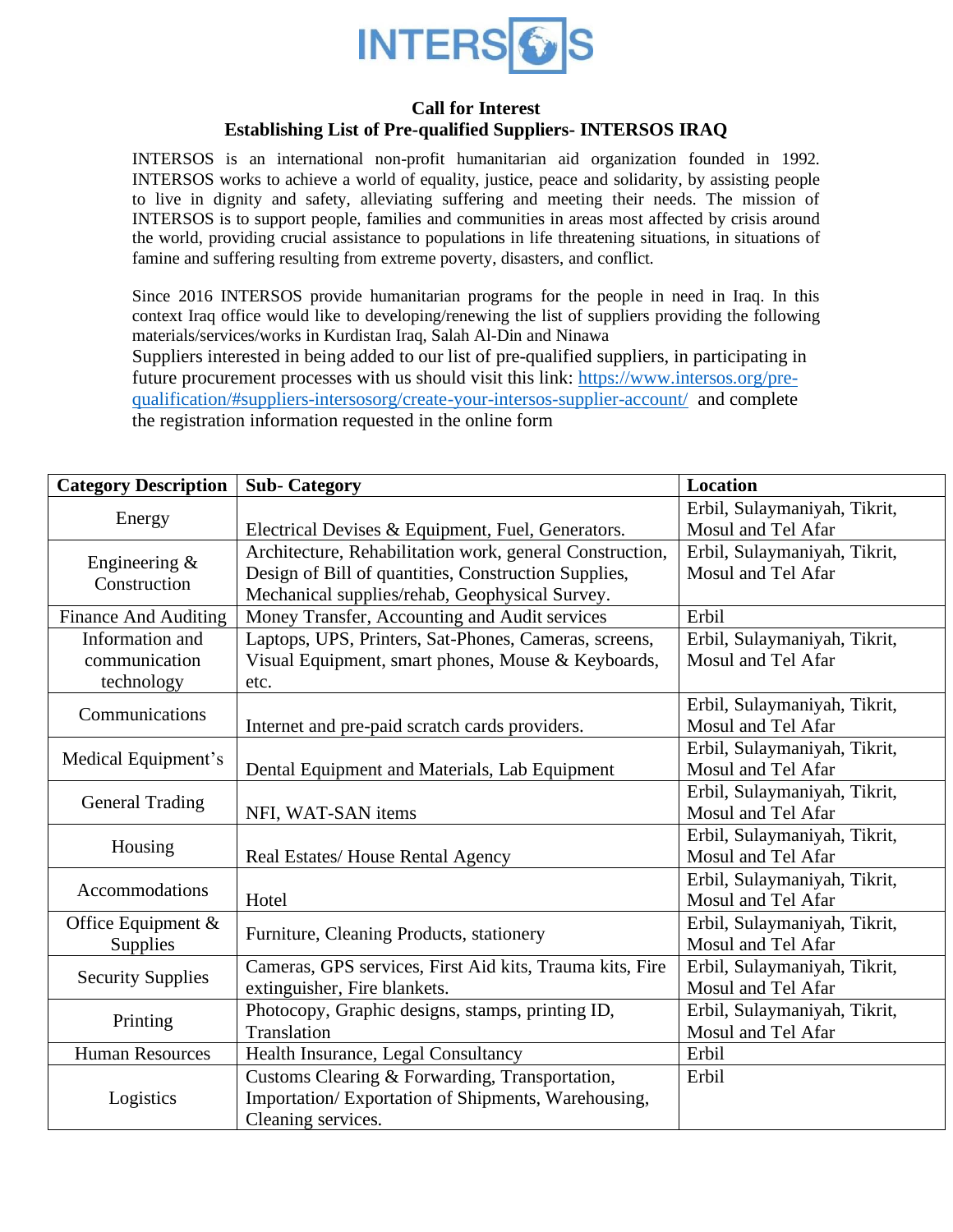

## **Call for Interest Establishing List of Pre-qualified Suppliers- INTERSOS IRAQ**

INTERSOS is an international non-profit humanitarian aid organization founded in 1992. INTERSOS works to achieve a world of equality, justice, peace and solidarity, by assisting people to live in dignity and safety, alleviating suffering and meeting their needs. The mission of INTERSOS is to support people, families and communities in areas most affected by crisis around the world, providing crucial assistance to populations in life threatening situations, in situations of famine and suffering resulting from extreme poverty, disasters, and conflict.

Since 2016 INTERSOS provide humanitarian programs for the people in need in Iraq. In this context Iraq office would like to developing/renewing the list of suppliers providing the following materials/services/works in Kurdistan Iraq, Salah Al-Din and Ninawa Suppliers interested in being added to our list of pre-qualified suppliers, in participating in future procurement processes with us should visit this link: [https://www.intersos.org/pre](https://www.intersos.org/pre-qualification/#suppliers-intersosorg/create-your-intersos-supplier-account/)[qualification/#suppliers-intersosorg/create-your-intersos-supplier-account/](https://www.intersos.org/pre-qualification/#suppliers-intersosorg/create-your-intersos-supplier-account/) and complete the registration information requested in the online form

| <b>Category Description</b>       | <b>Sub-Category</b>                                      | <b>Location</b>              |
|-----------------------------------|----------------------------------------------------------|------------------------------|
| Energy                            |                                                          | Erbil, Sulaymaniyah, Tikrit, |
|                                   | Electrical Devises & Equipment, Fuel, Generators.        | Mosul and Tel Afar           |
| Engineering &<br>Construction     | Architecture, Rehabilitation work, general Construction, | Erbil, Sulaymaniyah, Tikrit, |
|                                   | Design of Bill of quantities, Construction Supplies,     | Mosul and Tel Afar           |
|                                   | Mechanical supplies/rehab, Geophysical Survey.           |                              |
| <b>Finance And Auditing</b>       | Money Transfer, Accounting and Audit services            | Erbil                        |
| Information and                   | Laptops, UPS, Printers, Sat-Phones, Cameras, screens,    | Erbil, Sulaymaniyah, Tikrit, |
| communication                     | Visual Equipment, smart phones, Mouse & Keyboards,       | Mosul and Tel Afar           |
| technology                        | etc.                                                     |                              |
| Communications                    |                                                          | Erbil, Sulaymaniyah, Tikrit, |
|                                   | Internet and pre-paid scratch cards providers.           | Mosul and Tel Afar           |
| Medical Equipment's               |                                                          | Erbil, Sulaymaniyah, Tikrit, |
|                                   | Dental Equipment and Materials, Lab Equipment            | Mosul and Tel Afar           |
| <b>General Trading</b>            |                                                          | Erbil, Sulaymaniyah, Tikrit, |
|                                   | NFI, WAT-SAN items                                       | Mosul and Tel Afar           |
| Housing                           |                                                          | Erbil, Sulaymaniyah, Tikrit, |
|                                   | Real Estates/House Rental Agency                         | Mosul and Tel Afar           |
| Accommodations                    |                                                          | Erbil, Sulaymaniyah, Tikrit, |
|                                   | Hotel                                                    | Mosul and Tel Afar           |
| Office Equipment $\&$<br>Supplies | Furniture, Cleaning Products, stationery                 | Erbil, Sulaymaniyah, Tikrit, |
|                                   |                                                          | Mosul and Tel Afar           |
| <b>Security Supplies</b>          | Cameras, GPS services, First Aid kits, Trauma kits, Fire | Erbil, Sulaymaniyah, Tikrit, |
|                                   | extinguisher, Fire blankets.                             | Mosul and Tel Afar           |
| Printing                          | Photocopy, Graphic designs, stamps, printing ID,         | Erbil, Sulaymaniyah, Tikrit, |
|                                   | Translation                                              | Mosul and Tel Afar           |
| <b>Human Resources</b>            | Health Insurance, Legal Consultancy                      | Erbil                        |
| Logistics                         | Customs Clearing & Forwarding, Transportation,           | Erbil                        |
|                                   | Importation/Exportation of Shipments, Warehousing,       |                              |
|                                   | Cleaning services.                                       |                              |